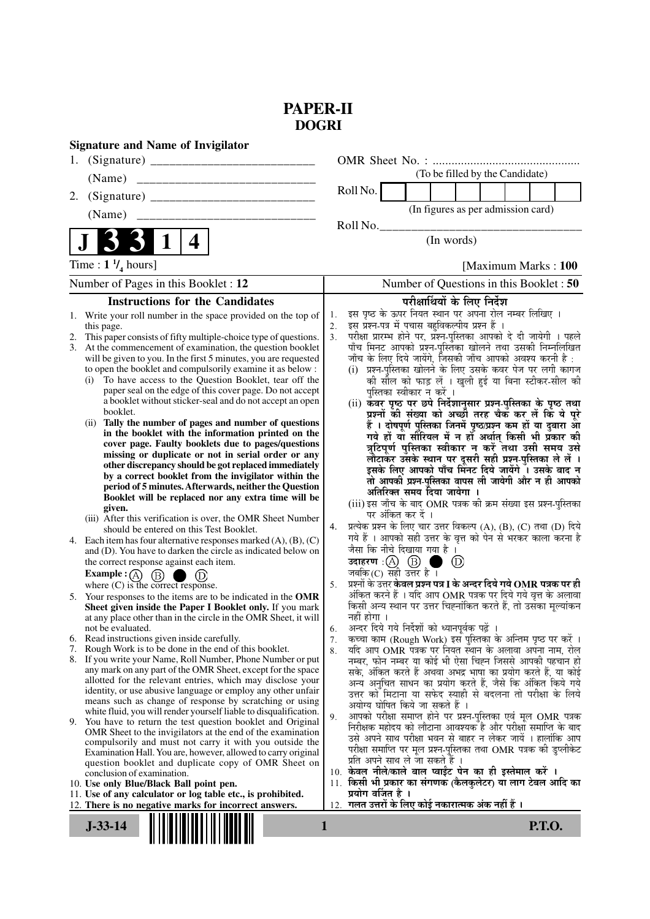# **PAPER-II DOGRI**

| <b>Signature and Name of Invigilator</b>                                                                                                                                                                                                                                                                                                                                                                                                                                                                                                                                                                                                                                                                                                                                                                                                                                                                                                                                                                                                                                                                                                                                                                                                                                                                                                                                                                                                                                                                                                                                                                                                                                                                                                                                                                                                                                                                                                                                                                                                                                                                                                                                                                                                                                                                                                                                                                                                                                             |                                                                                                                                                                                                                                                                                                                                                                                                                                                                                                                                                                                                                                                                                                                                                                                                                                                                                                                                                                                                                                                                                                                                                                                                                                                                                                                                                                                                                                                                                                                                                                                                                                                                                                                                                                                                                                                                                                                                                                                                                                                                                                                                                                                                                                                                                                                                                                                                   |
|--------------------------------------------------------------------------------------------------------------------------------------------------------------------------------------------------------------------------------------------------------------------------------------------------------------------------------------------------------------------------------------------------------------------------------------------------------------------------------------------------------------------------------------------------------------------------------------------------------------------------------------------------------------------------------------------------------------------------------------------------------------------------------------------------------------------------------------------------------------------------------------------------------------------------------------------------------------------------------------------------------------------------------------------------------------------------------------------------------------------------------------------------------------------------------------------------------------------------------------------------------------------------------------------------------------------------------------------------------------------------------------------------------------------------------------------------------------------------------------------------------------------------------------------------------------------------------------------------------------------------------------------------------------------------------------------------------------------------------------------------------------------------------------------------------------------------------------------------------------------------------------------------------------------------------------------------------------------------------------------------------------------------------------------------------------------------------------------------------------------------------------------------------------------------------------------------------------------------------------------------------------------------------------------------------------------------------------------------------------------------------------------------------------------------------------------------------------------------------------|---------------------------------------------------------------------------------------------------------------------------------------------------------------------------------------------------------------------------------------------------------------------------------------------------------------------------------------------------------------------------------------------------------------------------------------------------------------------------------------------------------------------------------------------------------------------------------------------------------------------------------------------------------------------------------------------------------------------------------------------------------------------------------------------------------------------------------------------------------------------------------------------------------------------------------------------------------------------------------------------------------------------------------------------------------------------------------------------------------------------------------------------------------------------------------------------------------------------------------------------------------------------------------------------------------------------------------------------------------------------------------------------------------------------------------------------------------------------------------------------------------------------------------------------------------------------------------------------------------------------------------------------------------------------------------------------------------------------------------------------------------------------------------------------------------------------------------------------------------------------------------------------------------------------------------------------------------------------------------------------------------------------------------------------------------------------------------------------------------------------------------------------------------------------------------------------------------------------------------------------------------------------------------------------------------------------------------------------------------------------------------------------------|
|                                                                                                                                                                                                                                                                                                                                                                                                                                                                                                                                                                                                                                                                                                                                                                                                                                                                                                                                                                                                                                                                                                                                                                                                                                                                                                                                                                                                                                                                                                                                                                                                                                                                                                                                                                                                                                                                                                                                                                                                                                                                                                                                                                                                                                                                                                                                                                                                                                                                                      |                                                                                                                                                                                                                                                                                                                                                                                                                                                                                                                                                                                                                                                                                                                                                                                                                                                                                                                                                                                                                                                                                                                                                                                                                                                                                                                                                                                                                                                                                                                                                                                                                                                                                                                                                                                                                                                                                                                                                                                                                                                                                                                                                                                                                                                                                                                                                                                                   |
| (Name)                                                                                                                                                                                                                                                                                                                                                                                                                                                                                                                                                                                                                                                                                                                                                                                                                                                                                                                                                                                                                                                                                                                                                                                                                                                                                                                                                                                                                                                                                                                                                                                                                                                                                                                                                                                                                                                                                                                                                                                                                                                                                                                                                                                                                                                                                                                                                                                                                                                                               | (To be filled by the Candidate)                                                                                                                                                                                                                                                                                                                                                                                                                                                                                                                                                                                                                                                                                                                                                                                                                                                                                                                                                                                                                                                                                                                                                                                                                                                                                                                                                                                                                                                                                                                                                                                                                                                                                                                                                                                                                                                                                                                                                                                                                                                                                                                                                                                                                                                                                                                                                                   |
| 2.                                                                                                                                                                                                                                                                                                                                                                                                                                                                                                                                                                                                                                                                                                                                                                                                                                                                                                                                                                                                                                                                                                                                                                                                                                                                                                                                                                                                                                                                                                                                                                                                                                                                                                                                                                                                                                                                                                                                                                                                                                                                                                                                                                                                                                                                                                                                                                                                                                                                                   | Roll No.                                                                                                                                                                                                                                                                                                                                                                                                                                                                                                                                                                                                                                                                                                                                                                                                                                                                                                                                                                                                                                                                                                                                                                                                                                                                                                                                                                                                                                                                                                                                                                                                                                                                                                                                                                                                                                                                                                                                                                                                                                                                                                                                                                                                                                                                                                                                                                                          |
| ______________________________<br>(Name)                                                                                                                                                                                                                                                                                                                                                                                                                                                                                                                                                                                                                                                                                                                                                                                                                                                                                                                                                                                                                                                                                                                                                                                                                                                                                                                                                                                                                                                                                                                                                                                                                                                                                                                                                                                                                                                                                                                                                                                                                                                                                                                                                                                                                                                                                                                                                                                                                                             | (In figures as per admission card)                                                                                                                                                                                                                                                                                                                                                                                                                                                                                                                                                                                                                                                                                                                                                                                                                                                                                                                                                                                                                                                                                                                                                                                                                                                                                                                                                                                                                                                                                                                                                                                                                                                                                                                                                                                                                                                                                                                                                                                                                                                                                                                                                                                                                                                                                                                                                                |
|                                                                                                                                                                                                                                                                                                                                                                                                                                                                                                                                                                                                                                                                                                                                                                                                                                                                                                                                                                                                                                                                                                                                                                                                                                                                                                                                                                                                                                                                                                                                                                                                                                                                                                                                                                                                                                                                                                                                                                                                                                                                                                                                                                                                                                                                                                                                                                                                                                                                                      | Roll No.                                                                                                                                                                                                                                                                                                                                                                                                                                                                                                                                                                                                                                                                                                                                                                                                                                                                                                                                                                                                                                                                                                                                                                                                                                                                                                                                                                                                                                                                                                                                                                                                                                                                                                                                                                                                                                                                                                                                                                                                                                                                                                                                                                                                                                                                                                                                                                                          |
| 331<br>4                                                                                                                                                                                                                                                                                                                                                                                                                                                                                                                                                                                                                                                                                                                                                                                                                                                                                                                                                                                                                                                                                                                                                                                                                                                                                                                                                                                                                                                                                                                                                                                                                                                                                                                                                                                                                                                                                                                                                                                                                                                                                                                                                                                                                                                                                                                                                                                                                                                                             | (In words)                                                                                                                                                                                                                                                                                                                                                                                                                                                                                                                                                                                                                                                                                                                                                                                                                                                                                                                                                                                                                                                                                                                                                                                                                                                                                                                                                                                                                                                                                                                                                                                                                                                                                                                                                                                                                                                                                                                                                                                                                                                                                                                                                                                                                                                                                                                                                                                        |
| Time : $1 \frac{1}{4}$ hours]                                                                                                                                                                                                                                                                                                                                                                                                                                                                                                                                                                                                                                                                                                                                                                                                                                                                                                                                                                                                                                                                                                                                                                                                                                                                                                                                                                                                                                                                                                                                                                                                                                                                                                                                                                                                                                                                                                                                                                                                                                                                                                                                                                                                                                                                                                                                                                                                                                                        | [Maximum Marks: 100]                                                                                                                                                                                                                                                                                                                                                                                                                                                                                                                                                                                                                                                                                                                                                                                                                                                                                                                                                                                                                                                                                                                                                                                                                                                                                                                                                                                                                                                                                                                                                                                                                                                                                                                                                                                                                                                                                                                                                                                                                                                                                                                                                                                                                                                                                                                                                                              |
| Number of Pages in this Booklet : 12                                                                                                                                                                                                                                                                                                                                                                                                                                                                                                                                                                                                                                                                                                                                                                                                                                                                                                                                                                                                                                                                                                                                                                                                                                                                                                                                                                                                                                                                                                                                                                                                                                                                                                                                                                                                                                                                                                                                                                                                                                                                                                                                                                                                                                                                                                                                                                                                                                                 | Number of Questions in this Booklet : 50                                                                                                                                                                                                                                                                                                                                                                                                                                                                                                                                                                                                                                                                                                                                                                                                                                                                                                                                                                                                                                                                                                                                                                                                                                                                                                                                                                                                                                                                                                                                                                                                                                                                                                                                                                                                                                                                                                                                                                                                                                                                                                                                                                                                                                                                                                                                                          |
|                                                                                                                                                                                                                                                                                                                                                                                                                                                                                                                                                                                                                                                                                                                                                                                                                                                                                                                                                                                                                                                                                                                                                                                                                                                                                                                                                                                                                                                                                                                                                                                                                                                                                                                                                                                                                                                                                                                                                                                                                                                                                                                                                                                                                                                                                                                                                                                                                                                                                      |                                                                                                                                                                                                                                                                                                                                                                                                                                                                                                                                                                                                                                                                                                                                                                                                                                                                                                                                                                                                                                                                                                                                                                                                                                                                                                                                                                                                                                                                                                                                                                                                                                                                                                                                                                                                                                                                                                                                                                                                                                                                                                                                                                                                                                                                                                                                                                                                   |
| <b>Instructions for the Candidates</b><br>Write your roll number in the space provided on the top of<br>1.<br>this page.<br>2. This paper consists of fifty multiple-choice type of questions.<br>3. At the commencement of examination, the question booklet<br>will be given to you. In the first 5 minutes, you are requested<br>to open the booklet and compulsorily examine it as below :<br>To have access to the Question Booklet, tear off the<br>(i)<br>paper seal on the edge of this cover page. Do not accept<br>a booklet without sticker-seal and do not accept an open<br>booklet.<br>(ii) Tally the number of pages and number of questions<br>in the booklet with the information printed on the<br>cover page. Faulty booklets due to pages/questions<br>missing or duplicate or not in serial order or any<br>other discrepancy should be got replaced immediately<br>by a correct booklet from the invigilator within the<br>period of 5 minutes. Afterwards, neither the Question<br>Booklet will be replaced nor any extra time will be<br>given.<br>(iii) After this verification is over, the OMR Sheet Number<br>should be entered on this Test Booklet.<br>4. Each item has four alternative responses marked $(A)$ , $(B)$ , $(C)$<br>and (D). You have to darken the circle as indicated below on<br>the correct response against each item.<br><b>Example:</b> $\overline{A}$ $\overline{B}$ $\overline{B}$<br>(D)<br>where $(C)$ is the correct response.<br>5. Your responses to the items are to be indicated in the OMR<br>Sheet given inside the Paper I Booklet only. If you mark<br>at any place other than in the circle in the OMR Sheet, it will<br>not be evaluated.<br>Read instructions given inside carefully.<br>6.<br>Rough Work is to be done in the end of this booklet.<br>7.<br>8. If you write your Name, Roll Number, Phone Number or put<br>any mark on any part of the OMR Sheet, except for the space<br>allotted for the relevant entries, which may disclose your<br>identity, or use abusive language or employ any other unfair<br>means such as change of response by scratching or using<br>white fluid, you will render yourself liable to disqualification.<br>9. You have to return the test question booklet and Original<br>OMR Sheet to the invigilators at the end of the examination<br>compulsorily and must not carry it with you outside the<br>Examination Hall. You are, however, allowed to carry original | परीक्षार्थियों के लिए निर्देश<br>इस पृष्ठ के ऊपर नियत स्थान पर अपना रोल नम्बर लिखिए ।<br>1.<br>इस प्रश्न-पत्र में पचास बहुविकल्पीय प्रश्न हैं ।<br>2.<br>परीक्षा प्रारम्भ होने पर, प्रश्न-पुस्तिका आपको दे दी जायेगी । पहले<br>3.<br>पाँच मिनट आपको प्रश्न-पुस्तिका खोलने तथा उसकी निम्नलिखित<br>जाँच के लिए दिये जायेंगे, जिसकी जाँच आपको अवश्य करनी है :<br>प्रश्न-पुस्तिका खोलने के लिए उसके कवर पेज पर लगी कागज<br>(i)<br>की सील को फाड़ लें । खुली हुई या बिना स्टीकर-सील की<br>पुस्तिका स्वीकार न करें ।<br>(ii) कवर पृष्ठ पर छपे निर्देशानुसार प्रश्न-पुस्तिका के पृष्ठ तथा<br>प्रश्नों की संख्या को अच्छी तरह चैक कर लें कि ये पूरे<br>हैं । दोषपूर्ण पुस्तिका जिनमें पृष्ठ/प्रश्न कम हों या दुबारा आँ<br>गये हों या सौरियल में न हों अर्थात् किसी भी प्रॅकार की<br>त्रुटिपूर्ण पुस्तिका स्वीकार न करें तथा उसी समय उसे<br>लौटाकर उसके स्थान पर दूसरी सही प्रश्न-पुस्तिका ले लें ।<br>इसके लिए आपको पाँच मिनट दिये जायेंगे । उसके बाद न<br>तो आपकी प्रश्न-पुस्तिका वापस ली जायेगी और न ही आपको<br>अतिरिक्त समय दिया जायेगा ।<br>(iii) इस जाँच के बाद OMR पत्रक की क्रम संख्या इस प्रश्न-पुस्तिका<br>पर अंकित कर दें ।<br>प्रत्येक प्रश्न के लिए चार उत्तर विकल्प (A), (B), (C) तथा (D) दिये<br>4.<br>गये हैं । आपको सही उत्तर के वृत्त को पेन से भरकर काला करना है<br>जैसा कि नीचे दिखाया गया है ।<br>उदाहरण : (A) (B) ।<br>$^{\circ}$<br>a ka<br>जबकि (C) सही उत्तर है ।<br>प्रश्नों के उत्तर <b>केवल प्रश्न पत्र I के अन्दर दिये गये OMR पत्रक पर ही</b><br>5.<br>अंकित करने हैं । यदि आप OMR पत्रक पर दिये गये वृत्त के अलावा<br>किसी अन्य स्थान पर उत्तर चिह्नांकित करते हैं, तो उसँका मूल्यांकन<br>नहीं होगा ।<br>अन्दर दिये गये निर्देशों को ध्यानपूर्वक पढ़ें ।<br>6.<br>कच्चा काम (Rough Work) इस पुस्तिका के अन्तिम पृष्ठ पर करें ।<br>7.<br>यदि आप OMR पत्रक पर नियत स्थान के अलावा अपना नाम, रोल<br>8.<br>नम्बर, फोन नम्बर या कोई भी ऐसा चिह्न जिससे आपकी पहचान हो<br>सके, अंकित करते हैं अथवा अभद्र भाषा का प्रयोग करते हैं, या कोई<br>अन्य अनुचित साधन का प्रयोग करते हैं, जैसे कि अंकित किये गये<br>उत्तर को मिटाना या सफेद स्याही से बदलना तो परीक्षा के लिये<br>अयोग्य घोषित किये जा सकते हैं ।<br>आपको परीक्षा समाप्त होने पर प्रश्न-पुस्तिका एवं मूल OMR पत्रक<br>9.<br>निरीक्षक महोदय को लौटाना आवश्यक है और परीक्षा समाप्ति के बाद<br>उसे अपने साथ परीक्षा भवन से बाहर न लेकर जायें । हालांकि आप<br>परीक्षा समाप्ति पर मूल प्रश्न-पुस्तिका तथा OMR पत्रक की डुप्लीकेट |
| question booklet and duplicate copy of OMR Sheet on<br>conclusion of examination.                                                                                                                                                                                                                                                                                                                                                                                                                                                                                                                                                                                                                                                                                                                                                                                                                                                                                                                                                                                                                                                                                                                                                                                                                                                                                                                                                                                                                                                                                                                                                                                                                                                                                                                                                                                                                                                                                                                                                                                                                                                                                                                                                                                                                                                                                                                                                                                                    | प्रति अपने साथ ले जा सकते हैं ।<br>10. केवल नीले/काले बाल प्वाईट पेन का ही इस्तेमाल करें ।                                                                                                                                                                                                                                                                                                                                                                                                                                                                                                                                                                                                                                                                                                                                                                                                                                                                                                                                                                                                                                                                                                                                                                                                                                                                                                                                                                                                                                                                                                                                                                                                                                                                                                                                                                                                                                                                                                                                                                                                                                                                                                                                                                                                                                                                                                        |
| 10. Use only Blue/Black Ball point pen.                                                                                                                                                                                                                                                                                                                                                                                                                                                                                                                                                                                                                                                                                                                                                                                                                                                                                                                                                                                                                                                                                                                                                                                                                                                                                                                                                                                                                                                                                                                                                                                                                                                                                                                                                                                                                                                                                                                                                                                                                                                                                                                                                                                                                                                                                                                                                                                                                                              | किसी भी प्रकार का संगणक (कैलकुलेटर) या लाग टेबल आदि का<br>11.                                                                                                                                                                                                                                                                                                                                                                                                                                                                                                                                                                                                                                                                                                                                                                                                                                                                                                                                                                                                                                                                                                                                                                                                                                                                                                                                                                                                                                                                                                                                                                                                                                                                                                                                                                                                                                                                                                                                                                                                                                                                                                                                                                                                                                                                                                                                     |
| 11. Use of any calculator or log table etc., is prohibited.<br>12. There is no negative marks for incorrect answers.                                                                                                                                                                                                                                                                                                                                                                                                                                                                                                                                                                                                                                                                                                                                                                                                                                                                                                                                                                                                                                                                                                                                                                                                                                                                                                                                                                                                                                                                                                                                                                                                                                                                                                                                                                                                                                                                                                                                                                                                                                                                                                                                                                                                                                                                                                                                                                 | प्रयोग वर्जित है ।<br>गलत उत्तरों के लिए कोई नकारात्मक अंक नहीं हैं ।<br>12.                                                                                                                                                                                                                                                                                                                                                                                                                                                                                                                                                                                                                                                                                                                                                                                                                                                                                                                                                                                                                                                                                                                                                                                                                                                                                                                                                                                                                                                                                                                                                                                                                                                                                                                                                                                                                                                                                                                                                                                                                                                                                                                                                                                                                                                                                                                      |
| $J-33-14$                                                                                                                                                                                                                                                                                                                                                                                                                                                                                                                                                                                                                                                                                                                                                                                                                                                                                                                                                                                                                                                                                                                                                                                                                                                                                                                                                                                                                                                                                                                                                                                                                                                                                                                                                                                                                                                                                                                                                                                                                                                                                                                                                                                                                                                                                                                                                                                                                                                                            | <b>P.T.O.</b><br>1                                                                                                                                                                                                                                                                                                                                                                                                                                                                                                                                                                                                                                                                                                                                                                                                                                                                                                                                                                                                                                                                                                                                                                                                                                                                                                                                                                                                                                                                                                                                                                                                                                                                                                                                                                                                                                                                                                                                                                                                                                                                                                                                                                                                                                                                                                                                                                                |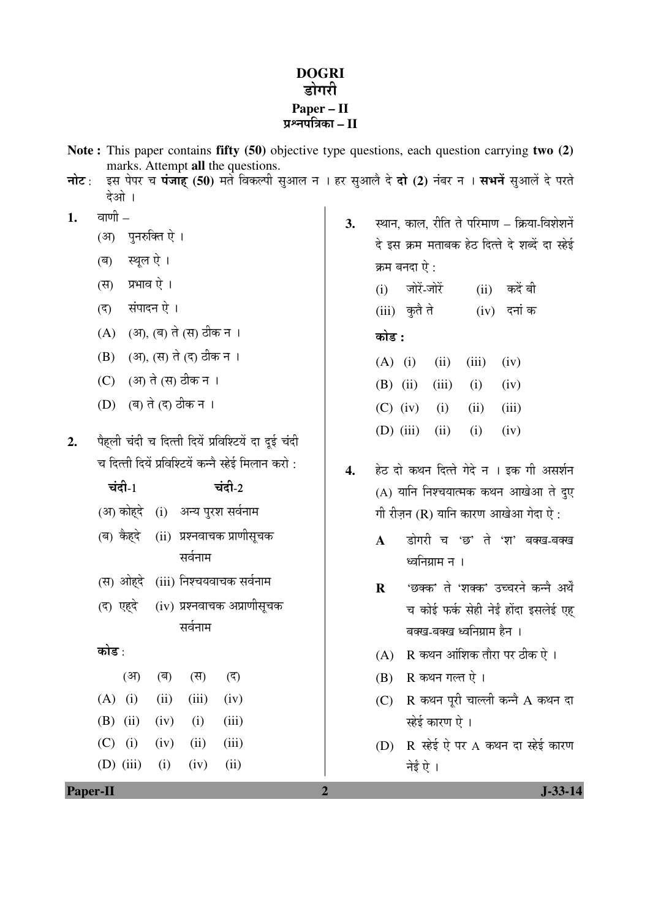#### **DOGRI** डोगरी **Paper – II**  प्रश्नपत्रिका – II

- **Note :** This paper contains **fifty (50)** objective type questions, each question carrying **two (2)** marks. Attempt **all** the questions.
- **नोट**: इस पेपर च **पंजाह (50**) मर्ते विकल्पी सुआल न । हर सुआलै दे **दो (2)** नंबर न । सभनें सुआलें दे परते देओ ।
- 1. anof
	- (आ) पनरुक्ति ऐ ।
	- (ब) स्थूल ऐ।
	- (स) प्रभाव ऐ।
	- (द) संपादन ऐ।
	- (A) (आ), (ब) ते (स) ठीक न ।
	- (B) (आ), (स) ते (द) ठीक न ।
	- (C) (अ) ते (स) ठीक न ।
	- (D) (ब) ते (द) ठीक न ।
- 2. पैहली चंदी च दित्ती दियें प्रविश्टियें दा दुई चंदी च दित्ती दियें प्रविश्टियें कन्नै स्हेई मिलान करो $\cdot$

# $\vec{a}$ दी $\vec{c}$  1 (आ) कोहदे (i) अन्य पुरश सर्वनाम (ब) कैहदे (ii) प्रश्नवाचक प्राणीसचक सर्वनाम (स) ओहदे (iii) निश्चयवाचक सर्वनाम  $($ द) एहदे  $(iv)$  प्रश्नवाचक अप्राणीसूचक सर्वनाम कोड : (अ) (ब) (स) (द) (A) (i) (iii) (iii) (iv)

|  | $(A)$ (i) (ii) (iii) (iv) |  |
|--|---------------------------|--|
|  | (B) (ii) (iv) (i) (iii)   |  |
|  | (C) (i) (iv) (ii) (iii)   |  |
|  | (D) (iii) (i) (iv) (ii)   |  |

- 3. स्थान, काल, रीति ते परिमाण क्रिया-विशेशनें दे इस क्रम मताबक हेठ दित्ते दे शब्दें दा स्हेई क्रम बनदा ऐ $\cdot$ 
	- $(i)$  जोरें-जोरें  $(ii)$  कदें बी (iii) कृतै ते (iv) दनां क

## 󜅐ݟ **:**

|  |  | $(A)$ (i) (ii) (iii) (iv) |
|--|--|---------------------------|
|  |  | (B) (ii) (iii) (i) (iv)   |
|  |  | (C) (iv) (i) (ii) (iii)   |
|  |  | (D) (iii) (ii) (i) (iv)   |

- 4. हेठ दो कथन दित्ते गेदे न । इक गी असर्शन  $(A)$  यानि निश्चयात्मक कथन आखेआ ते दुए गी रीजन (R) यानि कारण आखेआ गेदा ऐ $\cdot$ 
	- A डोगरी च 'छ' ते 'श' बक्ख-बक्ख ध्वनिग्राम न ।
	- **R** 'छक्क' ते 'शक्क' उच्चरने कन्नै अर्थें च कोई फर्क सेही नेई होंदा इसलेई एह बक्ख-बक्ख ध्वनिग्राम हैन ।
	- $(A)$  R कथन आंशिक तौरा पर ठीक ऐ ।
	- $(B)$  R कथन गल्त ऐ।
	- $(C)$  R कथन पूरी चाल्ली कन्ने A कथन दा स्हेई कारण ऐ ।
	- $(D)$   $R$   $\vec{e}$ ई ऐ पर A कथन दा स्हेई कारण नेई ऐ ।

**Paper-II 1-33-14**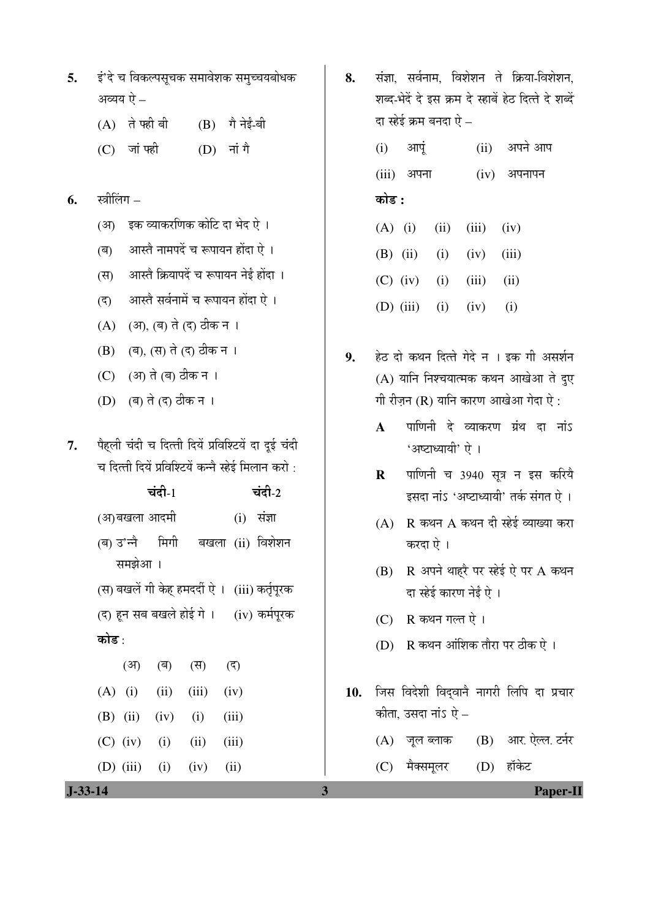| 5. | इं'दे च विकल्पसूचक समावेशक समुच्चयबोधक |
|----|----------------------------------------|
|    | अव्यय ऐ –                              |

- $(A)$  ते फही बी $(B)$  गै नेईं-बी
- $(C)$  जांफडी  $(D)$  नांगै

## **6.** स्त्रीलिंग –

- (अ) इक व्याकरणिक कोटि दा भेद ऐ ।
- (ब) आस्तै नामपदें च रूपायन होंदा ऐ ।
- (स) आस्तै क्रियापदें च रूपायन नेईं होंदा ।
- (द) आस्तै सर्वनामें च रूपायन होंदा ऐ ।
- (A) (आ), (ब) ते (द) ठीक न ।
- (B) (ब), (स) ते (द) ठीक न ।
- (C) (आ) ते (ब) ठीक न ।
- $(D)$  (ब) ते (द) ठीक न ।
- 7. पैहली चंदी च दित्ती दियें प्रविश्टियें दा दूई चंदी च दित्ती दियें प्रविश्टियें कन्नै स्हेई मिलान करो :

|                                                 | चंदी- $1$ |                 | चंदी-2       |
|-------------------------------------------------|-----------|-----------------|--------------|
| (अ)बखला आदमी                                    |           |                 | $(i)$ संज्ञा |
| (ब) उ'न्नै  मिगी  बखला (ii) विशेशन              |           |                 |              |
| समझेआ ।                                         |           |                 |              |
| (स) बखलें गी केह् हमदर्दी ऐ ।   (iii) कर्तृपूरक |           |                 |              |
| (द) हून सब बखले होई गे ।      (iv) कर्मपूरक     |           |                 |              |
| कोड :                                           |           |                 |              |
|                                                 |           | (अ) (ब) (स) (द) |              |
| $(A)$ (i) (ii) (iii) (iv)                       |           |                 |              |
| (B) (ii) (iv) (i) (iii)                         |           |                 |              |
| $(C)$ (iv) (i) (ii) (iii)                       |           |                 |              |
| (D) $(iii)$ $(i)$ $(iv)$ $(ii)$                 |           |                 |              |

8. संज्ञा, सर्वनाम, विशेशन ते क्रिया-विशेशन, शब्द-भेदें दे इस क्रम दे स्हाबें हेट दित्ते दे शब्दें दा स्हेई क्रम बनदा ऐ $\,$  –

> $(i)$  आपूं  $(ii)$  अपने आप  $(iii)$  अपना $(iv)$  अपनापन <u>कोड़ :</u>

- (A) (i) (iii) (iii) (iv) (B) (ii) (i) (iv) (iii)  $(C)$  (iv) (i) (iii) (ii) (D) (iii) (i) (iv) (i)
- 9. हेठ दो कथन दित्ते गेदे न । इक गी असर्शन  $(A)$  यानि निश्चयात्मक कथन आखेआ ते दुए गी रीजन  $(R)$  यानि कारण आखेआ गेदा ऐ:
	- A पाणिनी दे व्याकरण ग्रंथ दा नांऽ 'अष्टाध्यायी' ऐ ।
	- **R** पाणिनी च 3940 सूत्र न इस करिये इसदा नांऽ 'अष्टाध्यायी' तर्क संगत ऐ ।
	- $(A)$  R कथन A कथन दी स्हेई व्याख्या करा करदा ऐ ।
	- (B) R अपने थाहरै पर स्हेई ऐ पर A कथन दा स्हेई कारण नेईं ऐ ।
	- $(C)$  R कथन गल्त ऐ।
	- $(D)$  R कथन आंशिक तौरा पर ठीक ऐ ।
- 10. जिस विदेशी विद्**वाने नागरी लिपि दा प्रचार** कीता, उसदा नांऽ ऐ $-$ 
	- (A) जूल ब्लाक (B) आर. ऐल्ल. टर्नर
	- (C) मैक्समूलर (D) हॉकेट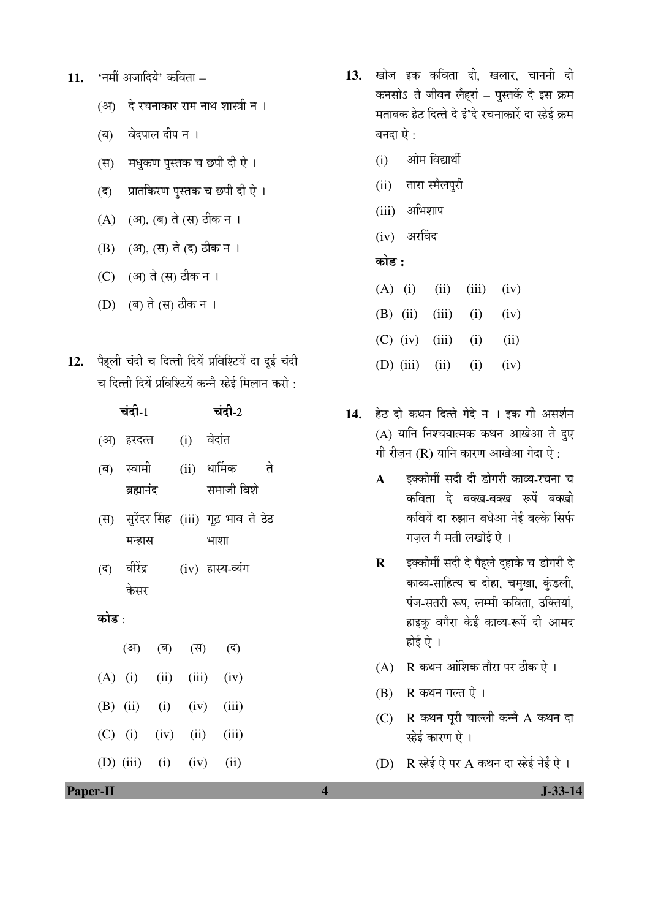- 11. 'नमीं अजादिये' कविता
	- (अ) दे रचनाकार राम नाथ शास्त्री न ।
	- (ब) वेदपाल दीप न ।
	- (स) मधुकण पुस्तक च छपी दी ऐ ।
	- (द) प्रातकिरण पुस्तक च छपी दी ऐ ।
	- (A) (आ), (ब) ते (स) ठीक न ।
	- (B) (अ), (स) ते (द) ठीक न ।
	- (C) (आ) ते (स) ठीक न ।
	- (D) (ब) ते (स) ठीक न ।
- 12. पैहली चंदी च दित्ती दियें प्रविश्टियें दा दुई चंदी च दित्ती दियें प्रविश्टियें कन्नै स्हेई मिलान करो :

|       | चंदी-1                   |  | चंदी-2                                         |  |
|-------|--------------------------|--|------------------------------------------------|--|
|       | (अ) हरदत्त  (i) वेदांत   |  |                                                |  |
|       | (ब) स्वामी<br>ब्रह्मानंद |  | (ii) धार्मिक ते<br>समाजी विशे                  |  |
|       | मन्हास                   |  | (स) सुरेंदर सिंह (iii) गूढ़ भाव ते ठेठ<br>भाशा |  |
|       | केसर                     |  | (द) वीरेंद्र  (iv) हास्य-व्यंग                 |  |
| कोड : |                          |  |                                                |  |
|       |                          |  | (अ) (ब) (स) (द)                                |  |
|       |                          |  | $(A)$ (i) (ii) (iii) (iv)                      |  |
|       |                          |  | (B) (ii) (i) (iv) (iii)                        |  |
|       |                          |  | $(C)$ (i) (iv) (ii) (iii)                      |  |
|       |                          |  | (D) (iii) (i) (iv) (ii)                        |  |

- 13. खोज इक कविता दी, खलार, चाननी दी कनसोऽ ते जीवन लैहरां – पुस्तकें दे इस क्रम मताबक हेठ दित्ते दे इं'दे रचनाकारें दा स्हेई क्रम बनदा ऐ $\cdot$ :
	- (i) ओम विद्यार्थी
	- (ii) तारा स्मैलपुरी
	- $(iii)$  अभिशाप
	- $(iv)$  अरविंद

#### 󜅐ݟ **:**

- (A) (i) (iii) (iii) (iv)
- (B) (ii) (iii) (i) (iv)
- $(C)$  (iv) (iii) (i) (ii)
- (D) (iii) (ii) (iv)
- 14. हेठ दो कथन दित्ते गेदे न । इक गी असर्शन  $(A)$  यानि निश्चयात्मक कथन आखेआ ते दुए गी रीज़न (R) यानि कारण आखेआ गेदा ऐ:
	- A दक्कीमीं सदी दी डोगरी काव्य-रचना च कविता दे बक्ख-बक्ख रूपें बक्खी कवियें दा रुझान बधेआ नेई बल्के सिर्फ गज़ल गै मती लखोई ऐ ।
	- **R** इक्कीमीं सदी दे पैहले दुहाके च डोगरी दे काव्य-साहित्य च दोहा, चमुखा, कुंडली, पंज-सतरी रूप, लम्मी कविता, उक्तियां, हाइकू वगैरा केई काव्य-रूपें दी आमद होई ऐ $\pm$
	- $(A)$  R कथन आंशिक तौरा पर ठीक ऐ ।
	- $(B)$  R कथन गल्त ऐ।
	- $(C)$  R कथन पूरी चाल्ली कन्नै A कथन दा स्हेई कारण ऐ ।
	- (D)  $R$  स्हेई ऐ पर A कथन दा स्हेई नेईं ऐ ।

**Paper-II** J-33-14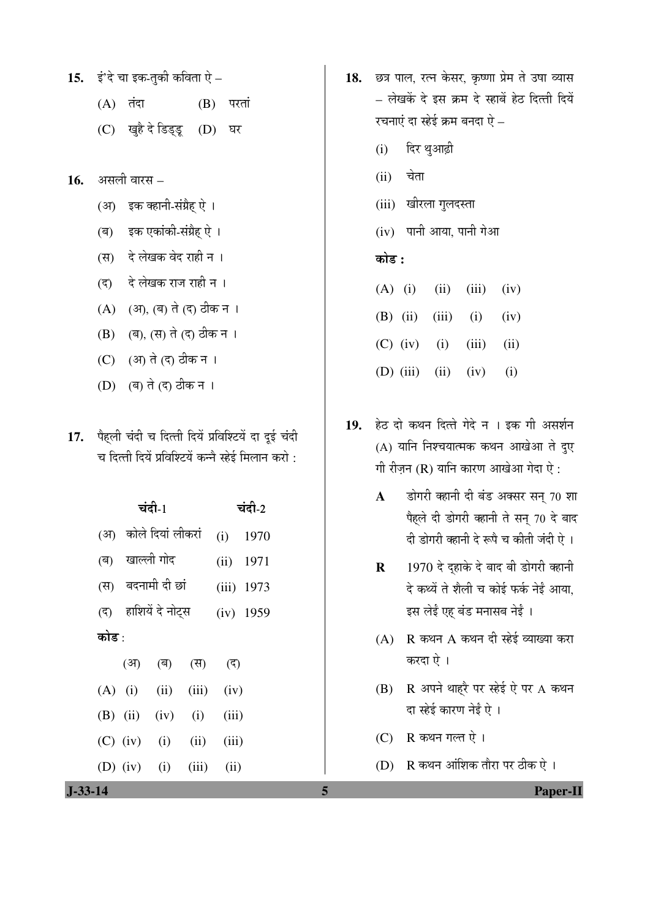15. इं'दे चा इक-तुकी कविता ऐ  $-$ 

- $(A)$  तंदा  $(B)$  परतां
- (C) खुहै दे डिड्डू (D) घर
- असली वारस 16.
	- इक क्हानी-संग्रैह ऐ ।  $(3)$
	- (ब) इक एकांकी-संग्रैह ऐ ।
	- (स) दे लेखक वेद राही न ।
	- दे लेखक राज राही न ।  $(5)$
	- (A) (अ), (ब) ते (द) ठीक न ।
	- (B) (ब), (स) ते (द) ठीक न ।
	- (C) (अ) ते (द) ठीक न ।
	- (D) (ब) ते (द) ठीक न ।
- 17. पैहली चंदी च दित्ती दियें प्रविश्टियें दा दुई चंदी च दित्ती दियें प्रविश्टियें कन्नै स्हेई मिलान करो:

|            | चंदी-1 |                       | चंदी-2 |       |              |
|------------|--------|-----------------------|--------|-------|--------------|
|            |        | (अ) कोले दियां लीकरां |        | (i)   | 1970         |
| (ৰ)        |        | खाल्ली गोद            |        | (ii)  | 1971         |
|            |        | (स) बदनामी दी छां     |        |       | $(iii)$ 1973 |
| (5)        |        | हाशियें दे नोट्स      |        |       | $(iv)$ 1959  |
| कोड :      |        |                       |        |       |              |
|            | (अ)    | (ৰ)                   | (स)    | (ন)   |              |
| $(A)$ (i)  |        | (ii)                  | (iii)  | (iv)  |              |
| $(B)$ (ii) |        | (iv)                  | (i)    | (iii) |              |
| $(C)$ (iv) |        | (i)                   | (ii)   | (iii) |              |
| $(D)$ (iv) |        | (i)                   | (iii)  | (ii)  |              |

- 18. छत्र पाल, रत्न केसर, कृष्णा प्रेम ते उषा व्यास – लेखकें दे इस क्रम दे स्हाबें हेठ दित्ती दियें रचनाएं दा स्हेई क्रम बनदा ऐ $-$ 
	- दिर थुआढ़ी  $(i)$
	- चेता  $(ii)$
	- (iii) खीरला गुलदस्ता
	- $(iv)$  पानी आया, पानी गेआ

## कोड़ :

- $(A)$  (i)  $(iii)$  $(iv)$  $(ii)$
- $(B)$  (ii)  $(iii)$  $(i)$  $(iv)$
- $(C)$  (iv)  $(i)$  $(iii)$  $(ii)$
- $(D)$  (iii)  $(ii)$  $(iv)$  $(i)$
- 19. हेठ दो कथन दित्ते गेदे न । इक गी असर्शन (A) यानि निश्चयात्मक कथन आखेआ ते दुए गी रीजन (R) यानि कारण आखेआ गेदा ऐ:
	- डोगरी क्हानी दी बंड अक्सर सन् 70 शा  $\mathbf{A}$ पैहले दी डोगरी क्हानी ते सन् 70 दे बाद दी डोगरी क्हानी दे रूपे च कीती जंदी ऐ ।
	- 1970 दे दहाके दे बाद बी डोगरी क्हानी  $\mathbf{R}$ दे कथ्यें ते शैली च कोई फर्क नेईं आया, इस लेई एह बंड मनासब नेई।
	- $(A)$  R कथन A कथन दी स्हेई व्याख्या करा करदा ऐ।
	- (B) R अपने थाहरै पर स्हेई ऐ पर A कथन दा स्हेई कारण नेईं ऐ ।
	- (C) R कथन गल्त ऐ।
	- (D) R कथन आंशिक तौरा पर ठीक ऐ।

Paper-II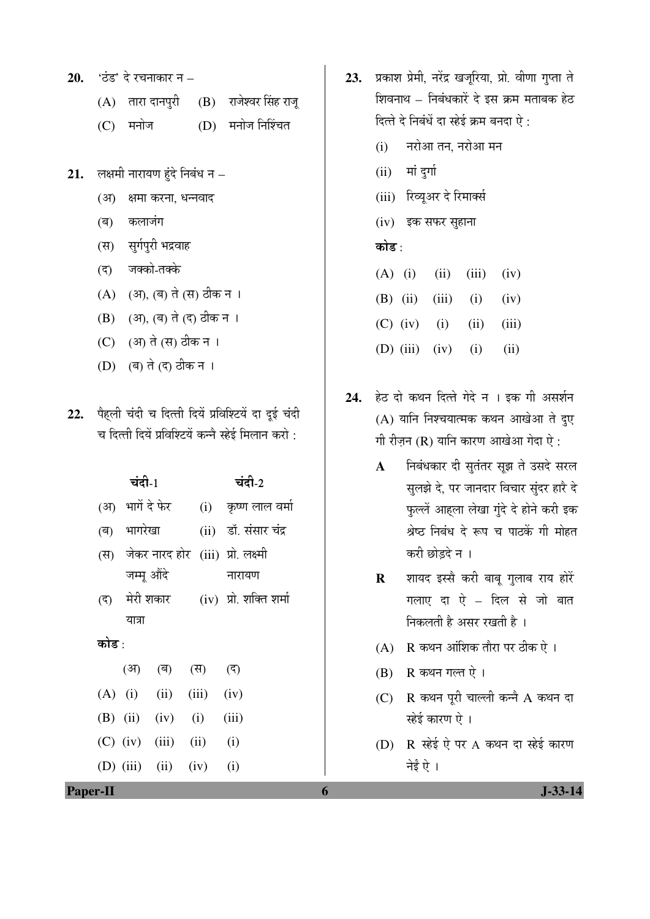- **20.** 'ठंड' दे रचनाकार न
	- $(A)$  तारा दानपुरी  $(B)$  राजेश्वर सिंह राजू
	- (C) मनोज (D) मनोज निश्चिंत
- 21. लक्षमी नारायण हुंदे निबंध न
	- (अ) क्षमा करना, धन्नवाद
	- (ब) कलाजंग
	- (स) सुर्गपुरी भद्रवाह
	- (द) जक्को-तक्के
	- (A) (अ), (ब) ते (स) ठीक न ।
	- (B) (आ), (ब) ते (द) ठीक न ।
	- (C) (आ) ते (स) ठीक न ।
	- (D) (ब) ते (द) ठीक न ।
- 22. पैहली चंदी च दित्ती दियें प्रविश्टियें दा दई चंदी च दित्ती दियें प्रविश्टियें कन्नै स्हेई मिलान करो :

|       | चंदी-1           |                           |  | चंदी-2                                |  |
|-------|------------------|---------------------------|--|---------------------------------------|--|
|       | (अ) भागें दे फेर |                           |  | (i) कृष्ण लाल वर्मा                   |  |
|       | (ब) भागरेखा      |                           |  | (ii) डॉ. संसार चंद्र                  |  |
|       |                  |                           |  | (स) जेकर नारद होर (iii) प्रो. लक्ष्मी |  |
|       | जम्मू औंदे       |                           |  | नारायण                                |  |
|       |                  |                           |  | (द) मेरी शकार (iv) प्रो. शक्ति शर्मा  |  |
|       | यात्रा           |                           |  |                                       |  |
| कोड : |                  |                           |  |                                       |  |
|       |                  | (अ) (ब) (स) (द)           |  |                                       |  |
|       |                  | $(A)$ (i) (ii) (iii) (iv) |  |                                       |  |
|       |                  | (B) (ii) (iv) (i) (iii)   |  |                                       |  |
|       |                  | $(C)$ (iv) (iii) (ii)     |  | (i)                                   |  |
|       |                  | (D) (iii) (ii) (iv)       |  | (i)                                   |  |

- 23. प्रकाश प्रेमी, नरेंद्र खजूरिया, प्रो. वीणा गुप्ता ते शिवनाथ – निबंधकारें दे इस क्रम मताबक हेठ दित्ते दे निबंधें दा स्हेई क्रम बनदा ऐ:
	- $(i)$  नरोआ तन, नरोआ मन
	- $(ii)$  मां दुर्गा
	- (iii) रिव्यूअर दे रिमार्क्स
	- $(iv)$  इक सफर सुहाना

#### कोड $\cdot$

- (A) (i) (iii) (iii) (iv)
- (B) (ii) (iii) (i) (iv)
- $(C)$  (iv) (i) (ii) (iii)
- (D) (iii) (iv) (i) (ii)
- 24. हेठ दो कथन दित्ते गेदे न । इक गी असर्शन  $(A)$  यानि निश्चयात्मक कथन आखेआ ते दुए गी रीज़न  $(R)$  यानि कारण आखेआ गेदा ऐ:
	- A निबंधकार दी सुतंतर सुझ ते उसदे सरल सुलझे दे, पर जानदार विचार सुंदर हारै दे फुल्लें आहला लेखा गुंदे दे होने करी इक श्रेष्ठ निबंध दे रूप च पाठकें गी मोहत करी छोडदे न ।
	- R शायद इस्सै करी बाबू गुलाब राय होरें गलाए दा ऐ – दिल से जो बात -<br>निकलती है असर रखती है ।
	- $(A)$  R कथन आंशिक तौरा पर ठीक ऐ।
	- $(B)$  R कथन गल्त ऐ।
	- $(C)$  R कथन पूरी चाल्ली कन्नै A कथन दा स्हेई कारण ऐ ।
	- $(D)$   $R$   $\vec{e}$ ई ऐ पर A कथन दा स्हेई कारण नेई ऐ ।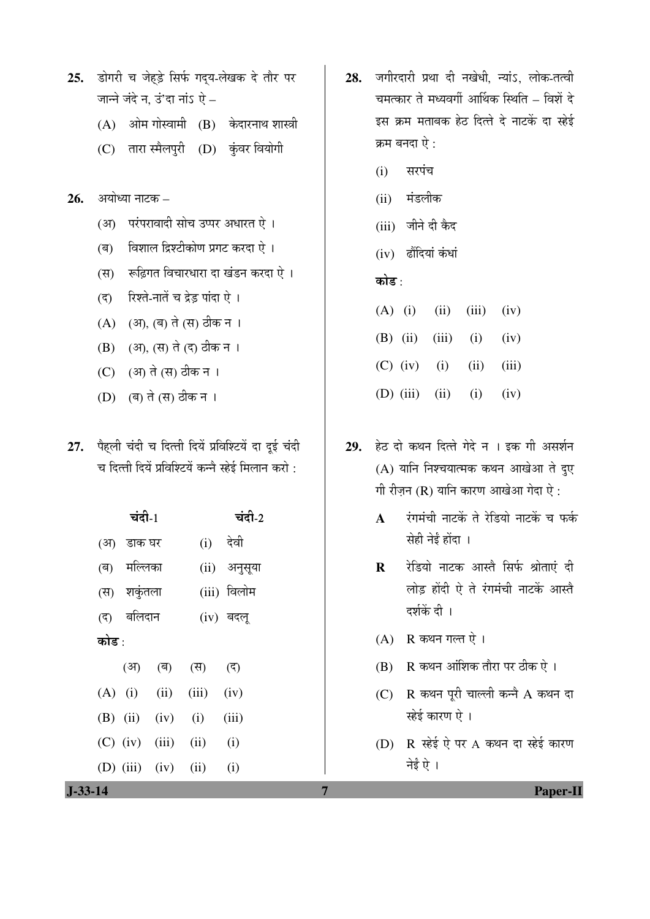- 25. डोगरी च जेहड़े सिर्फ गद्**य-लेखक दे** तौर पर जान्ने जंदे न, उं'दा नांऽ ऐ $-$ 
	- $(A)$  ओम गोस्वामी  $(B)$  केदारनाथ शास्त्री
	- (C) तारा स्मैलपुरी (D) कुंवर वियोगी
- **26.** अयोध्या नाटक
	- (अ) परंपरावादी सोच उप्पर अधारत ऐ ।
	- $\overline{q}$ ) विशाल द्रिश्टीकोण प्रगट करदा ऐ ।
	- (स) रूढिगत विचारधारा दा खंडन करदा ऐ ।
	- (द) रिश्ते-नातें च द्रेड़ पांदा ऐ ।
	- (A) (आ), (ब) ते (स) ठीक न ।
	- (B) (अ), (स) ते (द) ठीक न ।
	- (C) (अ) ते (स) ठीक न ।
	- (D) (ब) ते (स) ठीक न ।
- 27. पैहली चंदी च दित्ती दियें प्रविश्टियें दा दूई चंदी च दित्ती दियें प्रविश्टियें कन्नै स्हेई मिलान करो :

|       | चंदी-1      |                           |  |                                     |  |  |
|-------|-------------|---------------------------|--|-------------------------------------|--|--|
|       | (अ) डाक घर  |                           |  | (i) देवी                            |  |  |
|       | (ब) मल्लिका |                           |  | (ii) अनुसूया                        |  |  |
|       | (स) शकुंतला |                           |  | (iii) विलोम                         |  |  |
|       | (द) बलिदान  |                           |  | (iv) बदलू                           |  |  |
| कोड : |             |                           |  |                                     |  |  |
|       |             | (अ) (ब) (स)               |  | $\left(\overline{\varsigma}\right)$ |  |  |
|       |             | $(A)$ (i) (ii) (iii)      |  | (iv)                                |  |  |
|       |             | (B) (ii) (iv) (i)         |  | (iii)                               |  |  |
|       |             | $(C)$ (iv) (iii) (ii)     |  | (i)                                 |  |  |
|       |             | (D) $(iii)$ $(iv)$ $(ii)$ |  | (i)                                 |  |  |

- 28. जगीरदारी प्रथा दी नखेधी, न्यांऽ, लोक-तत्वी चमत्कार ते मध्यवर्गी आर्थिक स्थिति – विशें दे इस क्रम मताबक हेठ दित्ते दे नाटकें दा स्हेई क्रम बनदा ऐ:
	- $(i)$  सरपंच
	- (ii) मंडलीक
	- (iii) जीने दी कैद
	- $(iv)$  ढौंदियां कंधां

#### कोड :

- (A) (i) (iii) (iii) (iv) (B) (ii) (iii) (i) (iv)  $(C)$  (iv) (i) (ii) (iii) (D) (iii) (i) (iv)
- 29. हेठ दो कथन दित्ते गेदे न । इक गी असर्शन  $(A)$  यानि निश्चयात्मक कथन आखेआ ते दुए गी रीज़न (R) यानि कारण आखेआ गेदा ऐ:
	- $\mathbf A$  एंगमंची नाटकें ते रेडियो नाटकें च फर्क सेही नेई होंदा ।
	- **R** रेडियो नाटक आस्तै सिर्फ श्रोताएं दी लोड़ होंदी ऐ ते रंगमंची नाटकें आस्ते दर्शकें दी ।
	- $(A)$  R कथन गल्त ऐ।
	- $(B)$  R कथन आंशिक तौरा पर ठीक ऐ ।
	- $(C)$  R कथन पूरी चाल्ली कन्ने A कथन दा स्हेई कारण ऐ ।
	- (D)  $R$  स्हेई ऐ पर A कथन दा स्हेई कारण नेई ऐ ।

**J-33-14 7 Paper-II**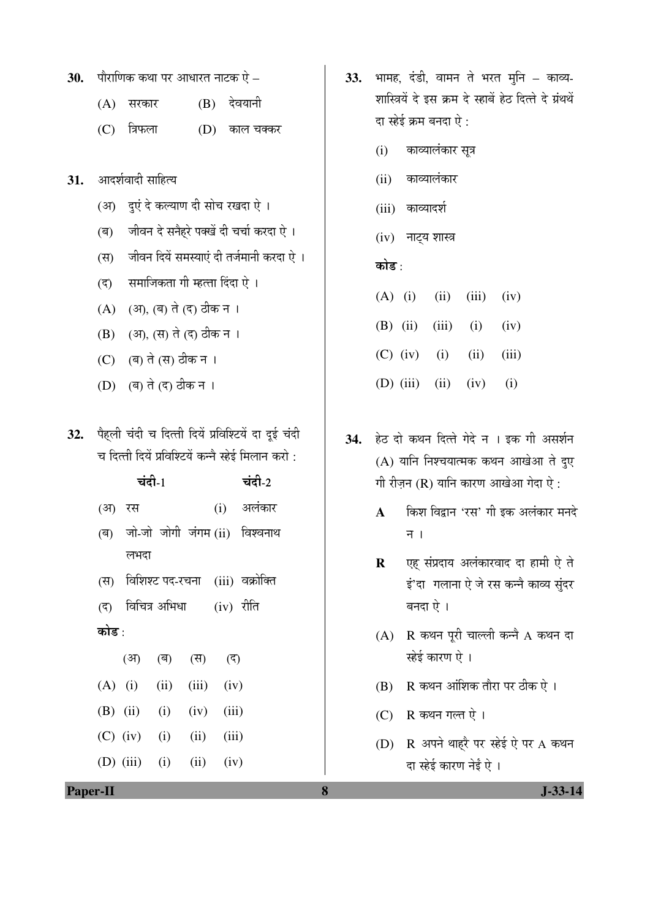| 30.<br>पौराणिक कथा पर आधारत नाटक ऐ – |  |  |
|--------------------------------------|--|--|
|--------------------------------------|--|--|

- $(A)$  सरकार  $(B)$  देवयानी
- (C) त्रिफला (D) काल चक्कर
- 31. आदर्शवादी साहित्य
	- (अ) दुएं दे कल्याण दी सोच रखदा ऐ ।
	- (ब) जीवन दे सनैहरे पक्खें दी चर्चा करदा ऐ ।
	- (स) जीवन दियें समस्याएं दी तर्जमानी करदा ऐ ।
	- (द) समाजिकता गी म्हत्ता दिंदा ऐ ।
	- (A) (अ), (ब) ते (द) ठीक न ।
	- (B) (अ), (स) ते (द) ठीक न ।
	- (C) (ब) ते (स) ठीक न ।
	- (D) (ब) ते (द) ठीक न ।
- 32. पैहली चंदी च दित्ती दियें प्रविश्टियें दा दूई चंदी च दित्ती दियें प्रविश्टियें कन्नै स्हेई मिलान करो :

| चंदी- $1$ | चंदी-2 |
|-----------|--------|
|-----------|--------|

- (अ) रस (i) अलंकार
- (ब) जो-जो जोगी जंगम(ii) विश्वनाथ लभदा
- (स) विशिश्ट पद-रचना (iii) वक्रोक्ति
- $($ द) विचित्र अभिधा  $(iv)$  रीति कोड $\cdot$
- (अ) (ब) (स) (द)  $(A)$  (i) (ii) (iii) (iv) (B) (ii) (i) (iv) (iii)  $(C)$  (iv) (i) (ii) (iii)

(D) (iii) (i) (iii) (iv)

- 33. भामह, दंडी, वामन ते भरत मुनि काव्य-शास्त्रियें दे इस क्रम दे स्हाबें हेठ दित्ते दे ग्रंथथें दा स्हेई क्रम बनदा ऐ $\colon$ 
	- (i) काव्यालंकार सूत्र
	- (ii) काव्यालंकार
	- (iii) काव्यादर्श
	- $(iv)$  नाट्य शास्त्र

#### कोड<sub>़</sub>

- (A) (i) (iii) (iii) (iv) (B) (ii) (iii) (i) (iv)  $(C)$  (iv) (i) (ii) (iii)
- (D) (iii) (ii) (iv) (i)
- 34. हेठ दो कथन दित्ते गेदे न । इक गी असर्शन  $(A)$  यानि निश्चयात्मक कथन आखेआ ते दुए गी रीज़न (R) यानि कारण आखेआ गेदा ऐ:
	- **A** विन्नश विद्वान 'रस' गी इक अलंकार मनदे न $\overline{1}$
	- $\bf R$  **v** $\bf \bar e$  संप्रदाय अलंकारवाद दा हामी ऐ ते इं'दा गलाना ऐ जे रस कन्नै काव्य सुंदर बनदा ऐ ।
	- $(A)$  R कथन पूरी चाल्ली कन्नै A कथन दा स्हेई कारण ऐ ।
	- $(B)$  R कथन आंशिक तौरा पर ठीक ऐ ।
	- $(C)$  R कथन गल्त ऐ।
	- (D)  $R$  अपने थाहरै पर स्हेई ऐ पर A कथन दा स्हेई कारण नेईं ऐ ।

**Paper-II 8 J-33-14**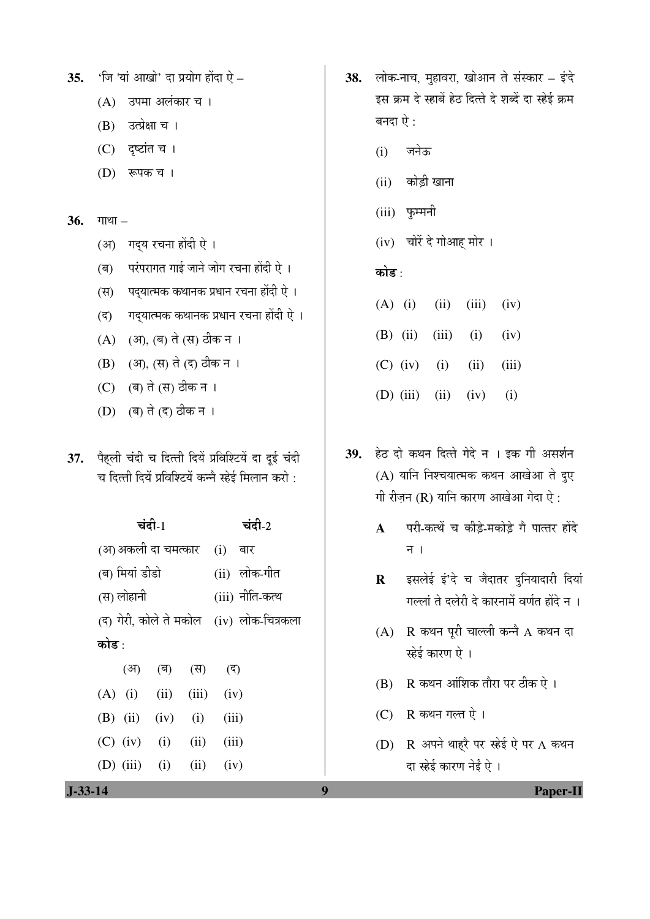**35.** 'जि 'यां आखो' दा प्रयोग होंदा ऐ –

- (A) उपमा अलंकार च ।
- (B) उत्प्रेक्षा च ।
- $(C)$  दृष्टांत च ।
- (D) रूपक च ।

#### **36.** गाथा –

- (अ) गद्य रचना होंदी ऐ ।
- (ब) परंपरागत गाई जाने जोग रचना होंदी ऐ ।
- (स) पद्यात्मक कथानक प्रधान रचना होंदी ऐ ।
- $\overline{q}$ ) गदयात्मक कथानक प्रधान रचना होंदी ऐ ।
- (A) (आ), (ब) ते (स) ठीक न ।
- (B) (अ), (स) ते (द) ठीक न ।
- (C) (ब) ते (स) ठीक न ।
- (D) (ब) ते (द) ठीक न ।
- 37. पैहली चंदी च दित्ती दियें प्रविश्टियें दा दूई चंदी च दित्ती दियें प्रविश्टियें कन्नै स्हेई मिलान करो $\,$  :

| चंदी- $1$ |                                  |  |                 |       | चंदी-2                                      |
|-----------|----------------------------------|--|-----------------|-------|---------------------------------------------|
|           | (अ)अकली दा चमत्कार    (i)    बार |  |                 |       |                                             |
|           | (ब) मियां डीडो                   |  |                 |       | (ii) लोक-गीत                                |
|           | (स) लोहानी                       |  |                 |       | (iii) नीति-कत्थ                             |
|           |                                  |  |                 |       | (द) गेरी, कोले ते मकोल   (iv)  लोक-चित्रकला |
| कोड :     |                                  |  |                 |       |                                             |
|           |                                  |  | (आ) (ब) (स) (द) |       |                                             |
|           | $(A)$ (i) (ii) (iii) (iv)        |  |                 |       |                                             |
|           | (B) (ii) (iv) (i)                |  |                 | (iii) |                                             |
|           | $(C)$ (iv) (i) (ii) (iii)        |  |                 |       |                                             |
|           | (D) (iii) (i) (ii) (iv)          |  |                 |       |                                             |
|           |                                  |  |                 |       |                                             |

- 38. लोक-नाच, मुहावरा, खोआन ते संस्कार इं'दे इस क्रम दे स्हाबें हेठ दित्ते दे शब्दें दा स्हेई क्रम बनदा $\overline{\mathfrak{p}}$  :
	- $(i)$  जनेऊ
	- (ii) कोड़ी खाना
	- (iii) फुम्मनी
	- (iv) चोरें दे गोआह मोर ।

## कोड $\cdot$

|  | $(A)$ (i) (ii) (iii) (iv)       |  |
|--|---------------------------------|--|
|  | (B) (ii) (iii) (i) (iv)         |  |
|  | (C) (iv) (i) (ii) (iii)         |  |
|  | (D) $(iii)$ $(ii)$ $(iv)$ $(i)$ |  |

- 39. हेठ दो कथन दित्ते गेदे न । इक गी असर्शन  $(A)$  यानि निश्चयात्मक कथन आखेआ ते दुए गी रीज़न (R) यानि कारण आखेआ गेदा ऐ:
	- **A** परी-कत्थें च कीड़े-मकोड़े गै पात्तर होंदे न $\overline{1}$
	- R इसलेई इं'दे च जैदातर दुनियादारी दियां गल्लां ते दलेरी दे कारनामें वर्णत होंदे न**।**
	- $(A)$  R कथन पूरी चाल्ली कन्नै A कथन दा स्हेई कारण ऐ ।
	- $(B)$  R कथन आंशिक तौरा पर ठीक ऐ ।
	- $(C)$  R कथन गल्त ऐ।
	- (D)  $R$  अपने थाहरै पर स्हेई ऐ पर A कथन दा स्हेई कारण नेईं ऐ ।

**J-33-14 9 Paper-II**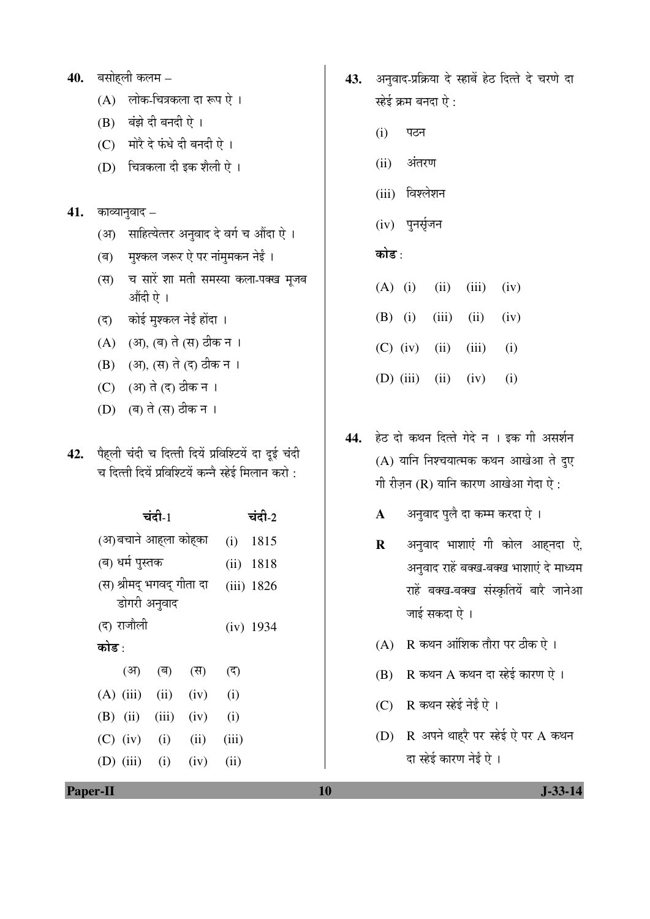**40.** बसोहली कलम  $-$ 

- (A) लोक-चित्रकला दा रूप ऐ।
- (B) बंझे दी बनदी ऐ।
- (C) मोरै दे फंधे दी बनदी ऐ।
- (D) चित्रकला दी इक शैली ऐ।

#### $41.$  काव्यानुवाद  $-$

- साहित्येत्तर अनुवाद दे वर्ग च औंदा ऐ ।  $(3)$
- मुश्कल जरूर ऐ पर नांमुमकन नेई । (ৰ)
- च सारें शा मती समस्या कला-पक्ख मूजब  $(F)$ औंदी ऐ।
- कोई मुश्कल नेई होंदा ।  $(5)$
- (A) (अ), (ब) ते (स) ठीक न ।
- (B) (अ), (स) ते (द) ठीक न ।
- (C) (अ) ते (द) ठीक न ।
- (D) (ब) ते (स) ठीक न ।
- 42. पैहली चंदी च दित्ती दियें प्रविश्टियें दा दूई चंदी च दित्ती दियें प्रविश्टियें कन्नै स्हेई मिलान करो:

| चंदी-1                    |             |              |      |       | चंदी-2      |
|---------------------------|-------------|--------------|------|-------|-------------|
| (अ)बचाने आह्ला कोह्का     |             |              |      | (i)   | 1815        |
| (ब) धर्म पुस्तक           |             |              |      | (ii)  | 1818        |
| (स) श्रीमद् भगवद् गीता दा |             |              |      |       | (iii) 1826  |
|                           |             | डोगरी अनुवाद |      |       |             |
|                           | (द) राजौली  |              |      |       | $(iv)$ 1934 |
| कोड :                     |             |              |      |       |             |
|                           | (अ)         | (ৰ)          | (स)  | (ন)   |             |
|                           | $(A)$ (iii) | (ii)         | (iv) | (i)   |             |
|                           | $(B)$ (ii)  | (iii)        | (iv) | (i)   |             |
|                           | $(C)$ (iv)  | (i)          | (ii) | (iii) |             |
|                           | $(D)$ (iii) | (i)          | (iv) | (ii)  |             |
|                           |             |              |      |       |             |

- 43. अनुवाद-प्रक्रिया दे स्हाबें हेठ दित्ते दे चरणे दा स्हेई क्रम बनदा ऐ:
	- $(i)$ पठन
	- अंतरण  $(ii)$
	- (iii) विश्लेशन
	- $(iv)$  पुनर्सृजन

## कोड :

- $(A)$  (i)  $(iii)$  $(iv)$  $(ii)$
- $(B)$  (i)  $(iii)$  $(ii)$  $(iv)$
- $(C)$  (iv)  $(ii)$  $(iii)$  $(i)$
- $(D)$  (iii)  $(ii)$  $(iv)$  $(i)$
- हेठ दो कथन दित्ते गेदे न । इक गी असर्शन 44. (A) यानि निश्चयात्मक कथन आखेआ ते दुए गी रीजन (R) यानि कारण आखेआ गेदा ऐ:
	- अनुवाद पूलै दा कम्म करदा ऐ ।  $\mathbf{A}$
	- अनुवाद भाशाएं गी कोल आहनदा ऐ,  $\mathbf{R}$ अनुवाद राहें बक्ख-बक्ख भाशाएं दे माध्यम राहें बक्ख-बक्ख संस्कृतियें बारे जानेआ जाई सकदा ऐ ।
	- $(A)$  R कथन आंशिक तौरा पर ठीक ऐ।
	- $(B)$  R कथन A कथन दा स्हेई कारण ऐ।
	- (C) R कथन स्हेई नेई ऐ ।
	- (D) R अपने थाहरै पर स्हेई ऐ पर A कथन दा स्हेई कारण नेईं ऐ ।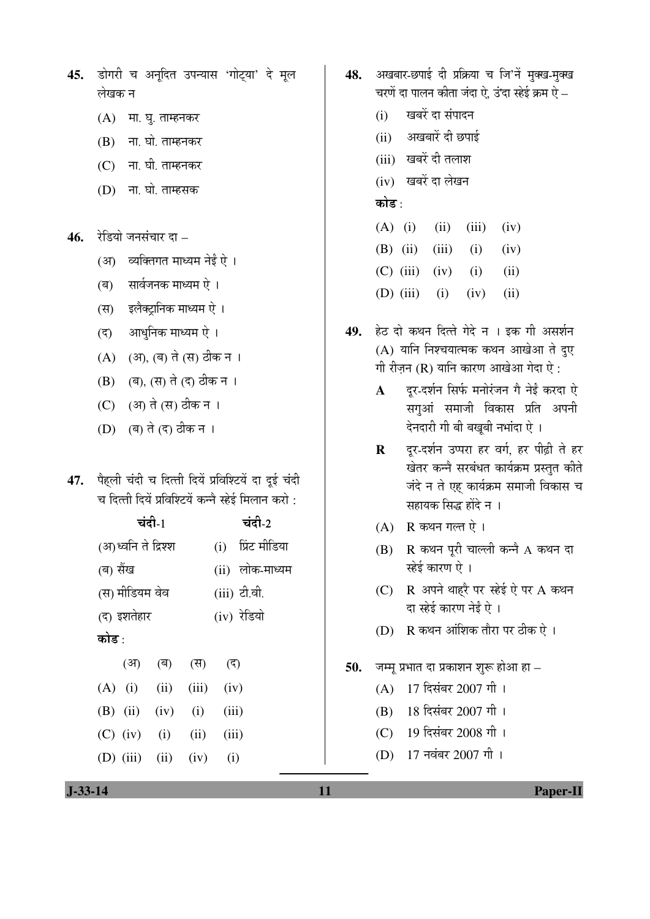- 45. डोगरी च अनूदित उपन्यास 'गोट्या' दे मूल लेखक न
	- $(A)$  मा. घृ. ताम्हनकर
	- $(B)$  ना. घो. ताम्हनकर
	- $(C)$  ना. घी. ताम्हनकर
	- (D) ना. घो. ताम्हसक
- 46. रेडियो जनसंचार दा
	- (अ) व्यक्तिगत माध्यम नेई ऐ ।
	- (ब) सार्वजनक माध्यम ऐ ।
	- (स) इलैक्ट़ानिक माध्यम ऐ ।
	- (द) आधुनिक माध्यम ऐ ।
	- (A) (अ), (ब) ते (स) ठीक न ।
	- (B) (ब), (स) ते (द) ठीक न ।
	- (C) (आ) ते (स) ठीक न ।
	- (D) (ब) ते (द) ठीक न ।
- 47. पैहली चंदी च दित्ती दियें प्रविश्टियें दा दुई चंदी च दित्ती दियें प्रविश्टियें कन्नै स्हेई मिलान करो :

| चंदी- $1$           |  |                           |  | चंदी-2       |                   |  |
|---------------------|--|---------------------------|--|--------------|-------------------|--|
| (अ)ध्वनि ते द्रिश्श |  |                           |  |              | (i) प्रिंट मीडिया |  |
| (ब) सैंख            |  |                           |  |              | (ii) लोक-माध्यम   |  |
| (स) मीडियम वेव      |  |                           |  | (iii) टी.वी. |                   |  |
| (द) इशतेहार         |  |                           |  | (iv) रेडियो  |                   |  |
| कोड :               |  |                           |  |              |                   |  |
|                     |  | (अ) (ब) (स) (द)           |  |              |                   |  |
|                     |  | $(A)$ (i) (ii) (iii) (iv) |  |              |                   |  |
|                     |  | $(B)$ (ii) (iv) (i) (iii) |  |              |                   |  |
|                     |  | $(C)$ (iv) (i) (ii) (iii) |  |              |                   |  |
|                     |  | (D) (iii) (ii) (iv) (i)   |  |              |                   |  |
|                     |  |                           |  |              |                   |  |

- 48. अखबार-छपाई दी प्रक्रिया च जि'नें मुक्ख-मुक्ख चरणें दा पालन कीता जंदा ऐ. उं'दा स्हेई क्रम ऐ $-$ 
	- $(i)$  खबरें दा संपादन
	- (ii) अखबारें दी छपाई
	- (iii) खबरें दी तलाश
	- (iv) खबरें दा लेखन

## कोड $\cdot$

- $(A)$  (i) (ii) (iii) (iv)
- (B) (ii) (iii) (i) (iv)
- $(C)$  (iii) (iv) (i) (ii)
- (D) (iii) (i) (iv) (ii)
- 49. हेठ दो कथन दित्ते गेदे न । इक गी असर्शन  $(A)$  यानि निश्चयात्मक कथन आखेआ ते दुए गी रीज़न (R) यानि कारण आखेआ गेदा ऐ:
	- A दूर-दर्शन सिर्फ मनोरंजन गै नेई करदा ऐ सग़आं समाजी विकास प्रति अपनी देनदारी गी बी बखुबी नभांदा ऐ ।
	- **R** दूर-दर्शन उप्परा हर वर्ग, हर पीढ़ी ते हर खेतर कन्ने सरबंधत कार्यक्रम प्रस्तुत कीते जंदे न ते एह कार्यक्रम समाजी विकास च सहायक सिद्ध होंदे न ।
	- $(A)$  R कथन गल्त ऐ।
	- $(B)$  R कथन पूरी चाल्ली कन्ने A कथन दा स्हेई कारण ऐ ।
	- (C)  $R$  अपने थाहरै पर स्हेई ऐ पर A कथन दा स्हेई कारण नेईं ऐ ।
	- $(D)$   $R$  कथन आंशिक तौरा पर ठीक ऐ ।
- **50.** जम्मू प्रभात दा प्रकाशन शुरू होआ हा
	- (A) 17 दिसंबर 2007 गी।
	- (B) 18 दिसंबर 2007 गी।
	- (C) 19 दिसंबर 2008 गी।
	- (D) 17 नवंबर 2007 गी।